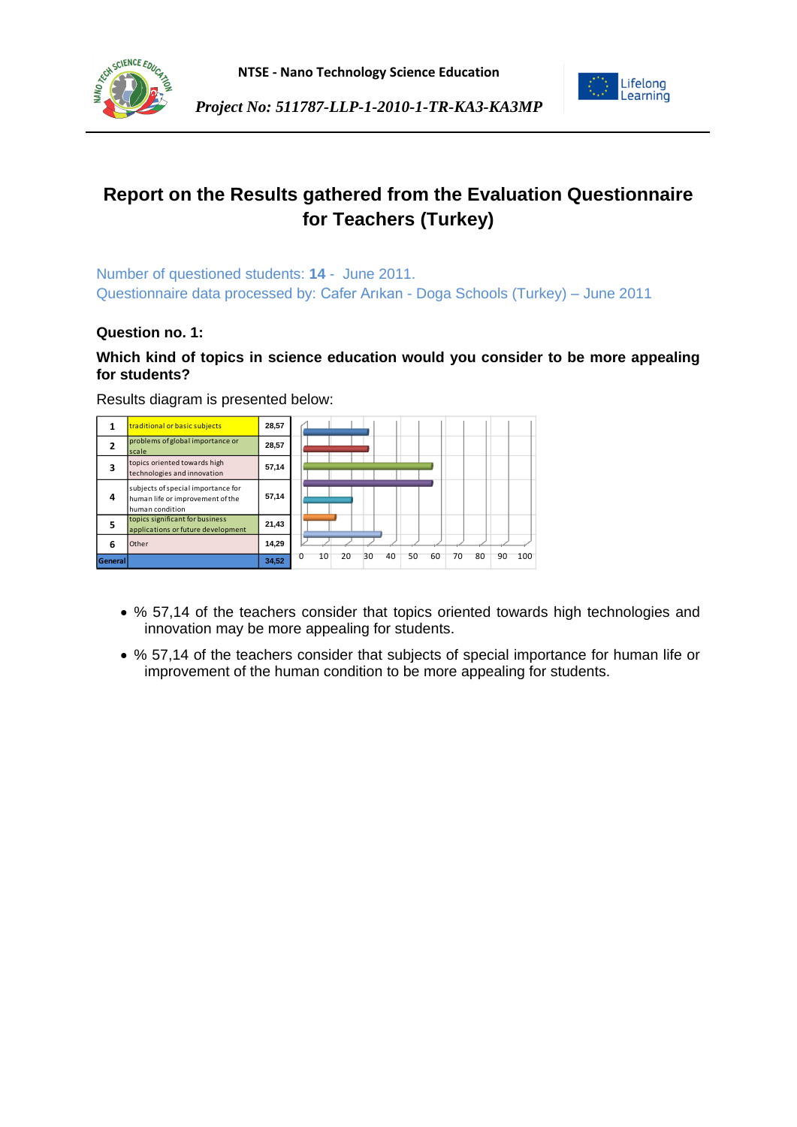





Lifelong<br>Learning

Number of questioned students: **14** - June 2011. Questionnaire data processed by: Cafer Arıkan - Doga Schools (Turkey) – June 2011

## **Question no. 1:**

## **Which kind of topics in science education would you consider to be more appealing for students?**

|         | traditional or basic subjects                                                             | 28,57 |                                                                |
|---------|-------------------------------------------------------------------------------------------|-------|----------------------------------------------------------------|
| 2       | problems of global importance or<br>scale                                                 | 28,57 |                                                                |
| з       | topics oriented towards high<br>technologies and innovation                               | 57,14 |                                                                |
| 4       | subjects of special importance for<br>human life or improvement of the<br>human condition | 57,14 |                                                                |
| 5       | topics significant for business<br>applications or future development                     | 21,43 |                                                                |
| 6       | Other                                                                                     | 14,29 |                                                                |
| General |                                                                                           | 34,52 | 10<br>20<br>30<br>40<br>50<br>60<br>80<br>$\Omega$<br>70<br>90 |

Results diagram is presented below:

- % 57,14 of the teachers consider that topics oriented towards high technologies and innovation may be more appealing for students.
- % 57,14 of the teachers consider that subjects of special importance for human life or improvement of the human condition to be more appealing for students.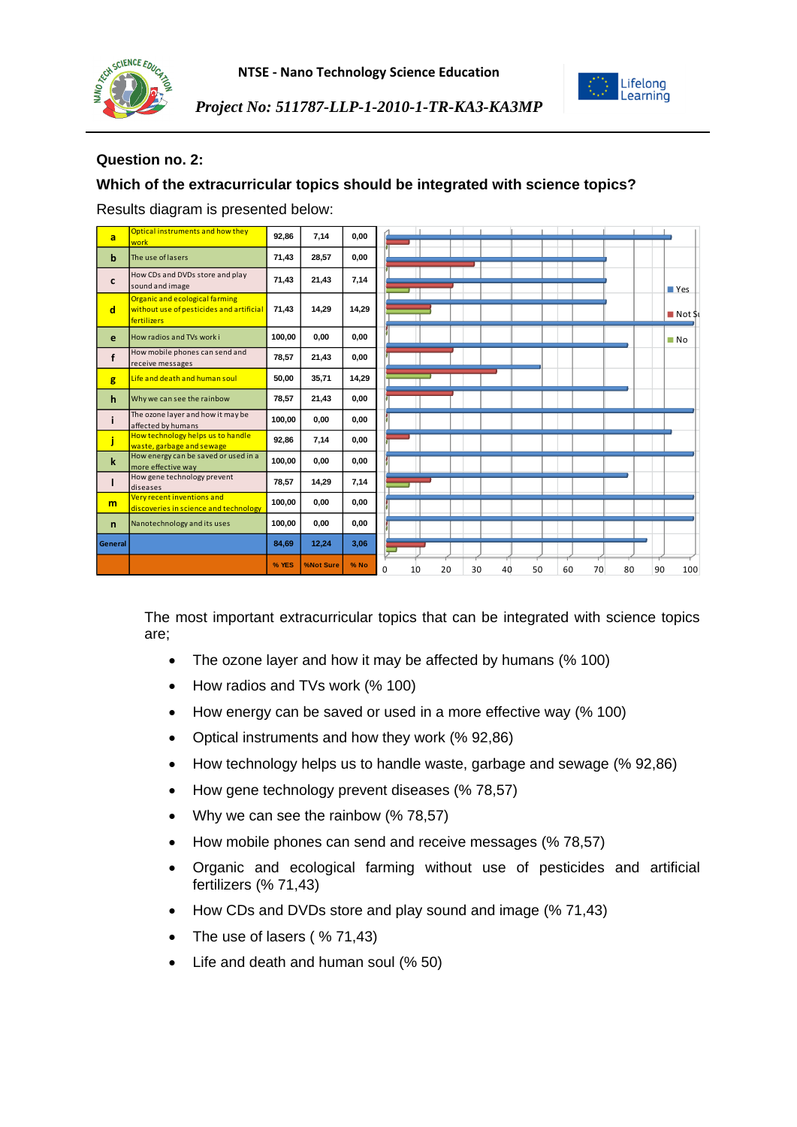



### **Question no. 2:**

## **Which of the extracurricular topics should be integrated with science topics?**

Results diagram is presented below:

| a            | Optical instruments and how they<br>work                                                  | 92,86  | 7,14      | 0.00   |          |    |    |    |    |    |    |    |    |                       |
|--------------|-------------------------------------------------------------------------------------------|--------|-----------|--------|----------|----|----|----|----|----|----|----|----|-----------------------|
| b            | The use of lasers                                                                         | 71,43  | 28,57     | 0,00   |          |    |    |    |    |    |    |    |    |                       |
| c            | How CDs and DVDs store and play<br>sound and image                                        | 71,43  | 21,43     | 7,14   |          |    |    |    |    |    |    |    |    | ■ Yes                 |
| d            | Organic and ecological farming<br>without use of pesticides and artificial<br>fertilizers | 71,43  | 14,29     | 14,29  |          |    |    |    |    |    |    |    |    | $\blacksquare$ Not St |
| e            | How radios and TVs work i                                                                 | 100,00 | 0,00      | 0,00   |          |    |    |    |    |    |    |    |    | $\blacksquare$ No     |
| f            | How mobile phones can send and<br>receive messages                                        | 78,57  | 21,43     | 0,00   |          |    |    |    |    |    |    |    |    |                       |
| g            | Life and death and human soul                                                             | 50,00  | 35,71     | 14,29  |          |    |    |    |    |    |    |    |    |                       |
| h            | Why we can see the rainbow                                                                | 78,57  | 21,43     | 0,00   |          |    |    |    |    |    |    |    |    |                       |
|              | The ozone layer and how it may be<br>affected by humans                                   | 100,00 | 0,00      | 0.00   |          |    |    |    |    |    |    |    |    |                       |
|              | How technology helps us to handle<br>waste, garbage and sewage                            | 92,86  | 7,14      | 0.00   |          |    |    |    |    |    |    |    |    |                       |
| $\mathbf k$  | How energy can be saved or used in a<br>more effective way                                | 100,00 | 0,00      | 0,00   |          |    |    |    |    |    |    |    |    |                       |
|              | How gene technology prevent<br>diseases                                                   | 78,57  | 14,29     | 7,14   |          |    |    |    |    |    |    |    |    |                       |
| m            | Very recent inventions and<br>discoveries in science and technology                       | 100,00 | 0,00      | 0,00   |          |    |    |    |    |    |    |    |    |                       |
| $\mathsf{n}$ | Nanotechnology and its uses                                                               | 100,00 | 0,00      | 0.00   |          |    |    |    |    |    |    |    |    |                       |
| General      |                                                                                           | 84,69  | 12,24     | 3,06   |          |    |    |    |    |    |    |    |    |                       |
|              |                                                                                           | % YES  | %Not Sure | $%$ No | $\Omega$ | 10 | 20 | 30 | 40 | 50 | 60 | 70 | 80 | 90<br>100             |

The most important extracurricular topics that can be integrated with science topics are;

- The ozone layer and how it may be affected by humans (% 100)
- How radios and TVs work (% 100)
- How energy can be saved or used in a more effective way (% 100)
- Optical instruments and how they work (% 92,86)
- How technology helps us to handle waste, garbage and sewage (% 92,86)
- How gene technology prevent diseases (% 78,57)
- Why we can see the rainbow (%78,57)
- How mobile phones can send and receive messages (% 78,57)
- Organic and ecological farming without use of pesticides and artificial fertilizers (% 71,43)
- How CDs and DVDs store and play sound and image (% 71,43)
- The use of lasers ( % 71,43)
- Life and death and human soul (% 50)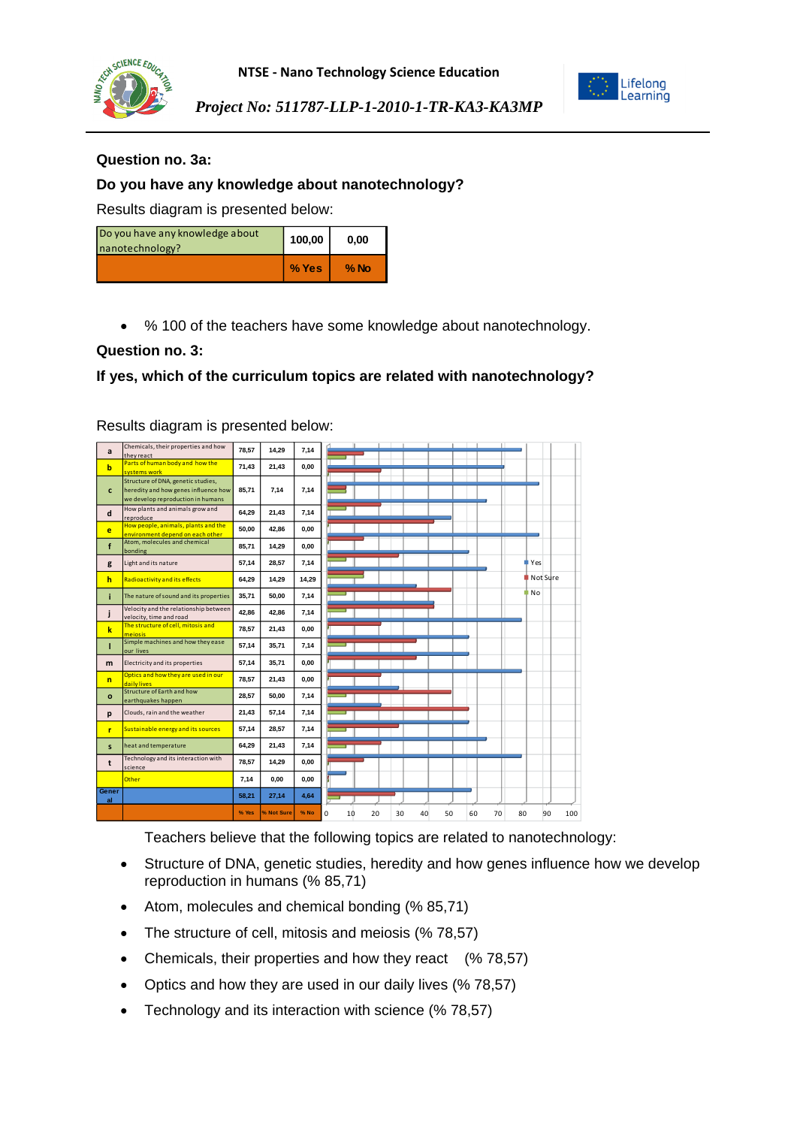



Lifelong Learning

*Project No: 511787-LLP-1-2010-1-TR-KA3-KA3MP*

#### **Question no. 3a:**

### **Do you have any knowledge about nanotechnology?**

Results diagram is presented below:

| Do you have any knowledge about<br>nanotechnology? | 100,00  | 0.00   |
|----------------------------------------------------|---------|--------|
|                                                    | $%$ Yes | $%$ No |

• % 100 of the teachers have some knowledge about nanotechnology.

#### **Question no. 3:**

## **If yes, which of the curriculum topics are related with nanotechnology?**

Results diagram is presented below:

| a              | Chemicals, their properties and how<br>they react                                                               | 78,57 | 14,29      | 7,14  |                                                          |              |
|----------------|-----------------------------------------------------------------------------------------------------------------|-------|------------|-------|----------------------------------------------------------|--------------|
| $\mathbf b$    | Parts of human body and how the<br>systems work                                                                 | 71,43 | 21,43      | 0,00  |                                                          |              |
| c              | Structure of DNA, genetic studies,<br>heredity and how genes influence how<br>we develop reproduction in humans | 85.71 | 7.14       | 7,14  |                                                          |              |
| d              | How plants and animals grow and<br>reproduce                                                                    | 64,29 | 21,43      | 7,14  |                                                          |              |
| e              | How people, animals, plants and the<br>environment depend on each other                                         | 50,00 | 42,86      | 0,00  |                                                          |              |
| f              | Atom, molecules and chemical<br>bonding                                                                         | 85,71 | 14,29      | 0,00  |                                                          |              |
| g              | Light and its nature                                                                                            | 57,14 | 28,57      | 7,14  |                                                          | <b>■</b> Yes |
| h              | <b>Radioactivity and its effects</b>                                                                            | 64,29 | 14,29      | 14,29 |                                                          | Not Sure     |
| i.             | The nature of sound and its properties                                                                          | 35,71 | 50,00      | 7,14  |                                                          | ‡ No         |
| j              | Velocity and the relationship between<br>velocity, time and road                                                | 42,86 | 42.86      | 7,14  |                                                          |              |
| $\mathbf k$    | The structure of cell, mitosis and<br>mejosis                                                                   | 78,57 | 21,43      | 0,00  |                                                          |              |
| т              | Simple machines and how they ease<br>our lives                                                                  | 57,14 | 35,71      | 7,14  |                                                          |              |
| m              | Electricity and its properties                                                                                  | 57,14 | 35,71      | 0,00  |                                                          |              |
| $\overline{p}$ | Optics and how they are used in our<br>daily lives                                                              | 78.57 | 21.43      | 0,00  |                                                          |              |
| $\mathbf{o}$   | Structure of Earth and how<br>earthquakes happen                                                                | 28,57 | 50.00      | 7,14  |                                                          |              |
| p              | Clouds, rain and the weather                                                                                    | 21,43 | 57,14      | 7,14  |                                                          |              |
| r              | Sustainable energy and its sources                                                                              | 57,14 | 28,57      | 7,14  |                                                          |              |
| s.             | heat and temperature                                                                                            | 64,29 | 21,43      | 7,14  |                                                          |              |
| t              | Technology and its interaction with<br>science                                                                  | 78,57 | 14.29      | 0,00  |                                                          |              |
|                | Other                                                                                                           | 7,14  | 0,00       | 0,00  |                                                          |              |
| Gener<br>al    |                                                                                                                 | 58,21 | 27,14      | 4,64  |                                                          |              |
|                |                                                                                                                 | % Yes | % Not Sure | % No  | $\Omega$<br>50<br>60<br>80<br>20<br>30<br>40<br>70<br>10 | 90<br>100    |

Teachers believe that the following topics are related to nanotechnology:

- Structure of DNA, genetic studies, heredity and how genes influence how we develop reproduction in humans (% 85,71)
- Atom, molecules and chemical bonding (% 85,71)
- The structure of cell, mitosis and meiosis (% 78,57)
- Chemicals, their properties and how they react (% 78,57)
- Optics and how they are used in our daily lives (% 78,57)
- Technology and its interaction with science (% 78,57)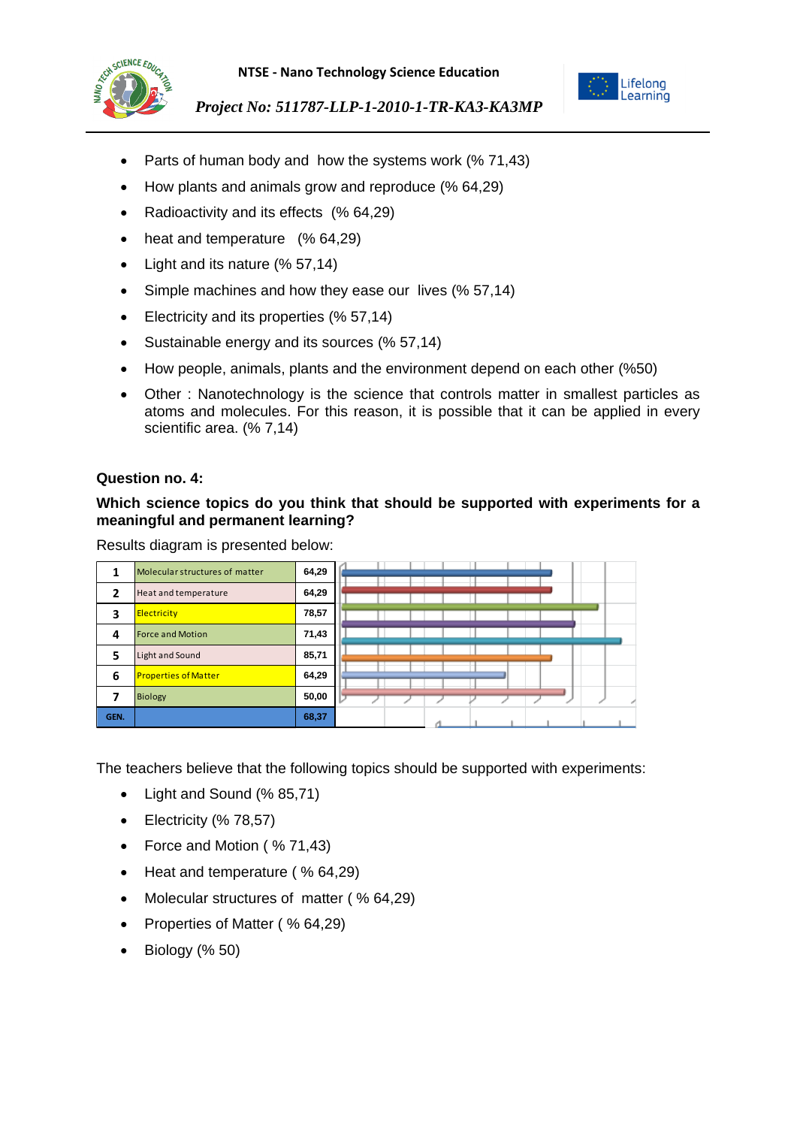



- Parts of human body and how the systems work (% 71.43)
- How plants and animals grow and reproduce (% 64,29)
- Radioactivity and its effects (% 64,29)
- heat and temperature (% 64,29)
- Light and its nature (% 57,14)
- Simple machines and how they ease our lives (% 57,14)
- Electricity and its properties (% 57,14)
- Sustainable energy and its sources (% 57,14)
- How people, animals, plants and the environment depend on each other (%50)
- Other : Nanotechnology is the science that controls matter in smallest particles as atoms and molecules. For this reason, it is possible that it can be applied in every scientific area. (% 7,14)

#### **Question no. 4:**

### **Which science topics do you think that should be supported with experiments for a meaningful and permanent learning?**

Results diagram is presented below:

|                | Molecular structures of matter | 64,29 |  |
|----------------|--------------------------------|-------|--|
| $\overline{2}$ | Heat and temperature           | 64,29 |  |
| 3              | <b>Electricity</b>             | 78,57 |  |
| 4              | <b>Force and Motion</b>        | 71,43 |  |
| 5              | Light and Sound                | 85,71 |  |
| 6              | <b>Properties of Matter</b>    | 64,29 |  |
| 7              | <b>Biology</b>                 | 50,00 |  |
| GEN.           |                                | 68,37 |  |

The teachers believe that the following topics should be supported with experiments:

- Light and Sound (% 85,71)
- $\bullet$  Electricity (% 78,57)
- Force and Motion (%71,43)
- Heat and temperature (  $% 64,29$ )
- Molecular structures of matter (% 64,29)
- Properties of Matter (% 64,29)
- Biology (% 50)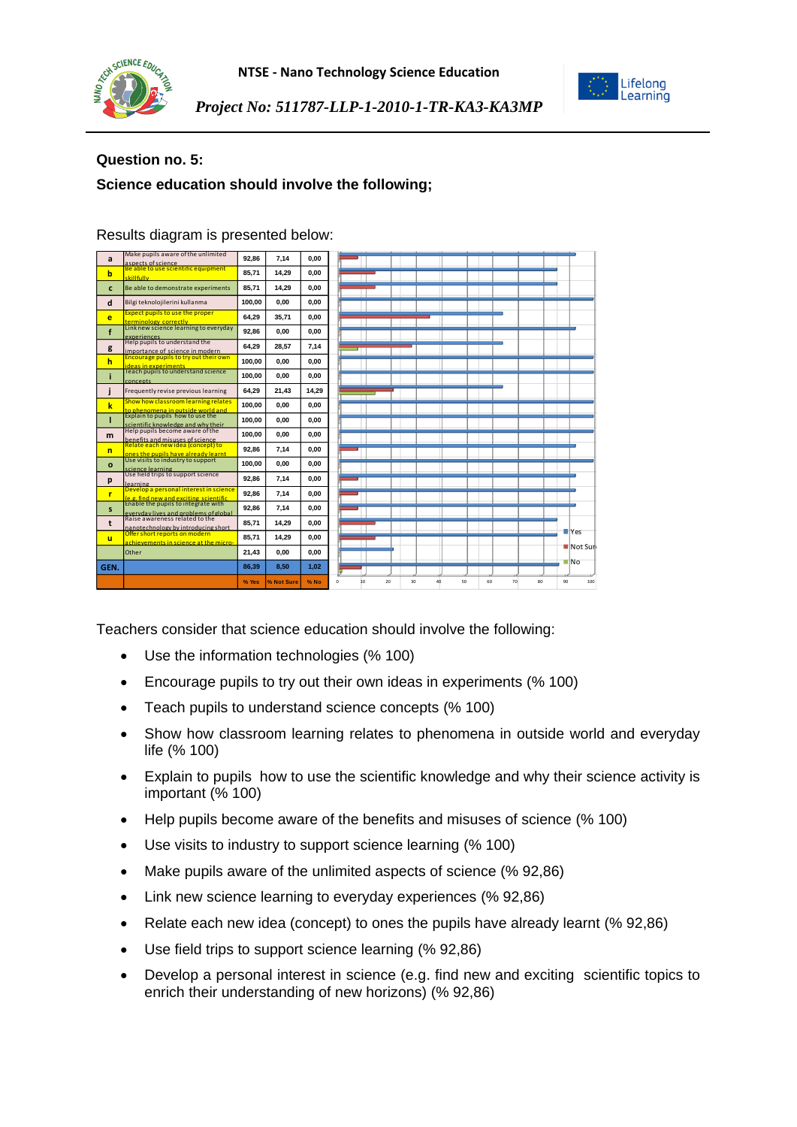



## **Question no. 5:**

# **Science education should involve the following;**

| a            | Make pupils aware of the unlimited<br>aspects of science                                                       | 92.86  | 7.14       | 0.00  |    |    |          |    |    |    |    |                   |
|--------------|----------------------------------------------------------------------------------------------------------------|--------|------------|-------|----|----|----------|----|----|----|----|-------------------|
| b            | Be able to use scientific equipment<br>skillfully                                                              | 85,71  | 14.29      | 0.00  |    |    |          |    |    |    |    |                   |
| c            | Be able to demonstrate experiments                                                                             | 85.71  | 14.29      | 0.00  |    |    |          |    |    |    |    |                   |
| d            | Bilgi teknolojilerini kullanma                                                                                 | 100.00 | 0.00       | 0.00  |    |    |          |    |    |    |    |                   |
| e            | <b>Expect pupils to use the proper</b><br>terminology correctly                                                | 64.29  | 35.71      | 0.00  |    |    |          |    |    |    |    |                   |
| f            | Link new science learning to everyday<br>experiences<br>Help pupils to understand the                          | 92.86  | 0.00       | 0.00  |    |    |          |    |    |    |    |                   |
| g            | importance of science in modern<br>Encourage pupils to try out their own                                       | 64.29  | 28.57      | 7.14  |    |    |          |    |    |    |    |                   |
| $\mathbf h$  | ideas in experiments                                                                                           | 100.00 | 0.00       | 0.00  |    |    |          |    |    |    |    |                   |
| ĩ            | Teach pupils to understand science<br><b>concepts</b>                                                          | 100,00 | 0.00       | 0.00  |    |    |          |    |    |    |    |                   |
|              | Frequently revise previous learning                                                                            | 64.29  | 21.43      | 14.29 |    |    |          |    |    |    |    |                   |
| k            | Show how classroom learning relates<br>to phenomena in outside world and<br>Explain to pupils how to use the   | 100.00 | 0.00       | 0.00  |    |    |          |    |    |    |    |                   |
| п            | scientific knowledge and why their                                                                             | 100.00 | 0.00       | 0.00  |    |    |          |    |    |    |    |                   |
| m            | Help pupils become aware of the<br>benefits and misuses of science<br>Relate each new idea (concept) to        | 100.00 | 0.00       | 0,00  |    |    |          |    |    |    |    |                   |
| $\mathsf{n}$ | ones the pupils have already learnt                                                                            | 92.86  | 7.14       | 0.00  |    |    |          |    |    |    |    |                   |
| $\mathbf{o}$ | Use visits to industry to support<br>science learning                                                          | 100.00 | 0.00       | 0.00  |    |    |          |    |    |    |    |                   |
| p            | Use field trips to support science<br>learning                                                                 | 92,86  | 7.14       | 0.00  |    |    |          |    |    |    |    |                   |
| r            | Develop a personal interest in science<br>(e.g. find new and exciting scientific                               | 92,86  | 7.14       | 0.00  |    |    |          |    |    |    |    |                   |
| s            | Enable the pupils to integrate with<br>everyday lives and problems of global<br>Raise awareness related to the | 92.86  | 7.14       | 0,00  |    |    |          |    |    |    |    |                   |
| t            | nanotechnology by introducing short                                                                            | 85.71  | 14.29      | 0.00  |    |    |          |    |    |    |    | <b>TYes</b>       |
| $\mathbf{u}$ | Offer short reports on modern<br>achievements in science at the micro-                                         | 85,71  | 14.29      | 0.00  |    |    |          |    |    |    |    | Not Sure          |
|              | Other                                                                                                          | 21,43  | 0.00       | 0.00  |    |    |          |    |    |    |    |                   |
| GEN.         |                                                                                                                | 86,39  | 8.50       | 1,02  |    |    |          |    |    |    |    | $\blacksquare$ No |
|              |                                                                                                                | % Yes  | % Not Sure | % No  | 10 | 20 | 30<br>40 | 50 | 60 | 70 | 80 | 90<br>100         |

Results diagram is presented below:

Teachers consider that science education should involve the following:

- Use the information technologies (% 100)
- Encourage pupils to try out their own ideas in experiments (% 100)
- Teach pupils to understand science concepts (% 100)
- Show how classroom learning relates to phenomena in outside world and everyday life (% 100)
- Explain to pupils how to use the scientific knowledge and why their science activity is important (% 100)
- Help pupils become aware of the benefits and misuses of science (% 100)
- Use visits to industry to support science learning (% 100)
- Make pupils aware of the unlimited aspects of science (% 92,86)
- Link new science learning to everyday experiences (% 92,86)
- Relate each new idea (concept) to ones the pupils have already learnt (% 92,86)
- Use field trips to support science learning (% 92,86)
- Develop a personal interest in science (e.g. find new and exciting scientific topics to enrich their understanding of new horizons) (% 92,86)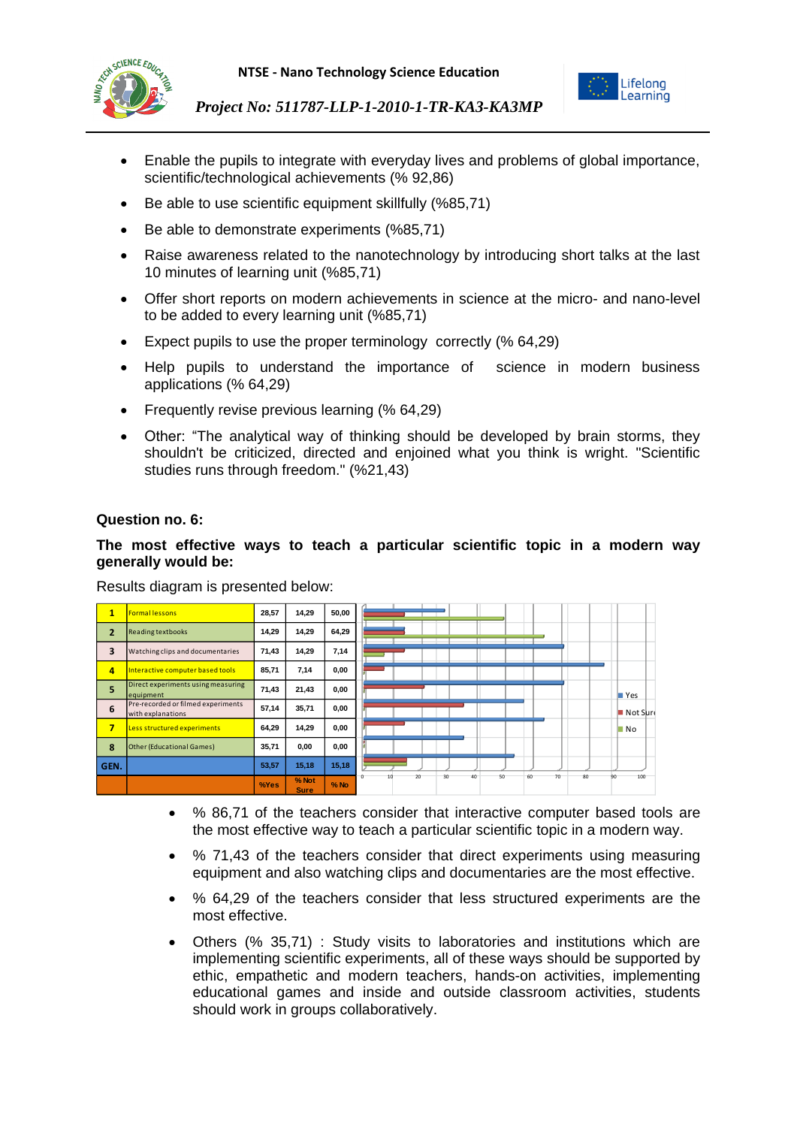



- Enable the pupils to integrate with everyday lives and problems of global importance, scientific/technological achievements (% 92,86)
- Be able to use scientific equipment skillfully (%85,71)
- Be able to demonstrate experiments (%85,71)
- Raise awareness related to the nanotechnology by introducing short talks at the last 10 minutes of learning unit (%85,71)
- Offer short reports on modern achievements in science at the micro- and nano-level to be added to every learning unit (%85,71)
- Expect pupils to use the proper terminology correctly (% 64,29)
- Help pupils to understand the importance of science in modern business applications (% 64,29)
- Frequently revise previous learning (% 64,29)
- Other: "The analytical way of thinking should be developed by brain storms, they shouldn't be criticized, directed and enjoined what you think is wright. "Scientific studies runs through freedom." (%21,43)

#### **Question no. 6:**

## **The most effective ways to teach a particular scientific topic in a modern way generally would be:**

Results diagram is presented below:

| 1                       | <b>Formal lessons</b>                                   | 28,57 | 14,29         | 50,00  |                                                   |                         |
|-------------------------|---------------------------------------------------------|-------|---------------|--------|---------------------------------------------------|-------------------------|
| $\mathbf{2}$            | <b>Reading textbooks</b>                                | 14,29 | 14,29         | 64,29  |                                                   |                         |
| 3                       | Watching clips and documentaries                        | 71,43 | 14,29         | 7,14   |                                                   |                         |
| $\overline{a}$          | Interactive computer based tools                        | 85,71 | 7,14          | 0,00   |                                                   |                         |
| 5                       | Direct experiments using measuring<br>equipment         | 71,43 | 21,43         | 0,00   |                                                   | $\blacksquare$ Yes      |
| 6                       | Pre-recorded or filmed experiments<br>with explanations | 57,14 | 35,71         | 0,00   |                                                   | $\blacksquare$ Not Sure |
| $\overline{\mathbf{z}}$ | Less structured experiments                             | 64.29 | 14.29         | 0,00   |                                                   | <b>No</b>               |
| 8                       | <b>Other (Educational Games)</b>                        | 35,71 | 0,00          | 0,00   |                                                   |                         |
| GEN.                    |                                                         | 53,57 | 15,18         | 15,18  |                                                   |                         |
|                         |                                                         | %Yes  | % Not<br>Sure | $%$ No | 30<br>20<br>40<br>50<br>60<br>70<br>80<br>0<br>10 | 100<br><b>PO</b>        |

- % 86,71 of the teachers consider that interactive computer based tools are the most effective way to teach a particular scientific topic in a modern way.
- % 71,43 of the teachers consider that direct experiments using measuring equipment and also watching clips and documentaries are the most effective.
- % 64,29 of the teachers consider that less structured experiments are the most effective.
- Others (% 35,71) : Study visits to laboratories and institutions which are implementing scientific experiments, all of these ways should be supported by ethic, empathetic and modern teachers, hands-on activities, implementing educational games and inside and outside classroom activities, students should work in groups collaboratively.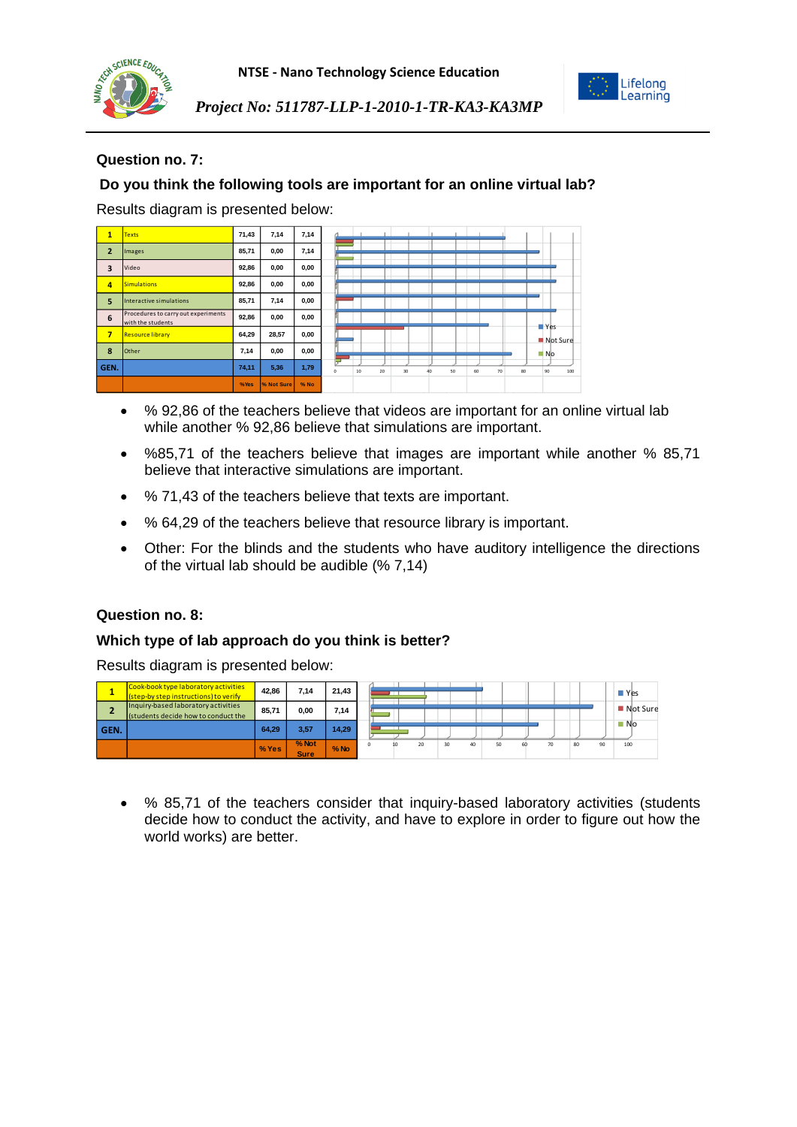





# **Question no. 7:**

# **Do you think the following tools are important for an online virtual lab?**

Results diagram is presented below:

| $\mathbf{1}$   | <b>Texts</b>                                             | 71,43 | 7,14       | 7,14 |                                                                       |
|----------------|----------------------------------------------------------|-------|------------|------|-----------------------------------------------------------------------|
| $\overline{2}$ | Images                                                   | 85,71 | 0,00       | 7,14 |                                                                       |
| 3              | Video                                                    | 92,86 | 0,00       | 0,00 |                                                                       |
| 4              | <b>Simulations</b>                                       | 92,86 | 0,00       | 0,00 |                                                                       |
| 5              | Interactive simulations                                  | 85,71 | 7,14       | 0,00 |                                                                       |
| 6              | Procedures to carry out experiments<br>with the students | 92,86 | 0,00       | 0,00 |                                                                       |
| $\overline{7}$ | <b>Resource library</b>                                  | 64,29 | 28,57      | 0,00 | Yes<br>Not Sure                                                       |
| 8              | Other                                                    | 7,14  | 0,00       | 0,00 | No.                                                                   |
| GEN.           |                                                          | 74,11 | 5,36       | 1,79 | 30<br>50<br>80<br>90<br>100<br>$\theta$<br>10<br>20<br>60<br>70<br>4n |
|                |                                                          | %Yes  | % Not Sure | % No |                                                                       |

- % 92,86 of the teachers believe that videos are important for an online virtual lab while another % 92,86 believe that simulations are important.
- %85,71 of the teachers believe that images are important while another % 85,71 believe that interactive simulations are important.
- % 71,43 of the teachers believe that texts are important.
- % 64,29 of the teachers believe that resource library is important.
- Other: For the blinds and the students who have auditory intelligence the directions of the virtual lab should be audible (% 7,14)

### **Question no. 8:**

#### **Which type of lab approach do you think is better?**

Results diagram is presented below:



 % 85,71 of the teachers consider that inquiry-based laboratory activities (students decide how to conduct the activity, and have to explore in order to figure out how the world works) are better.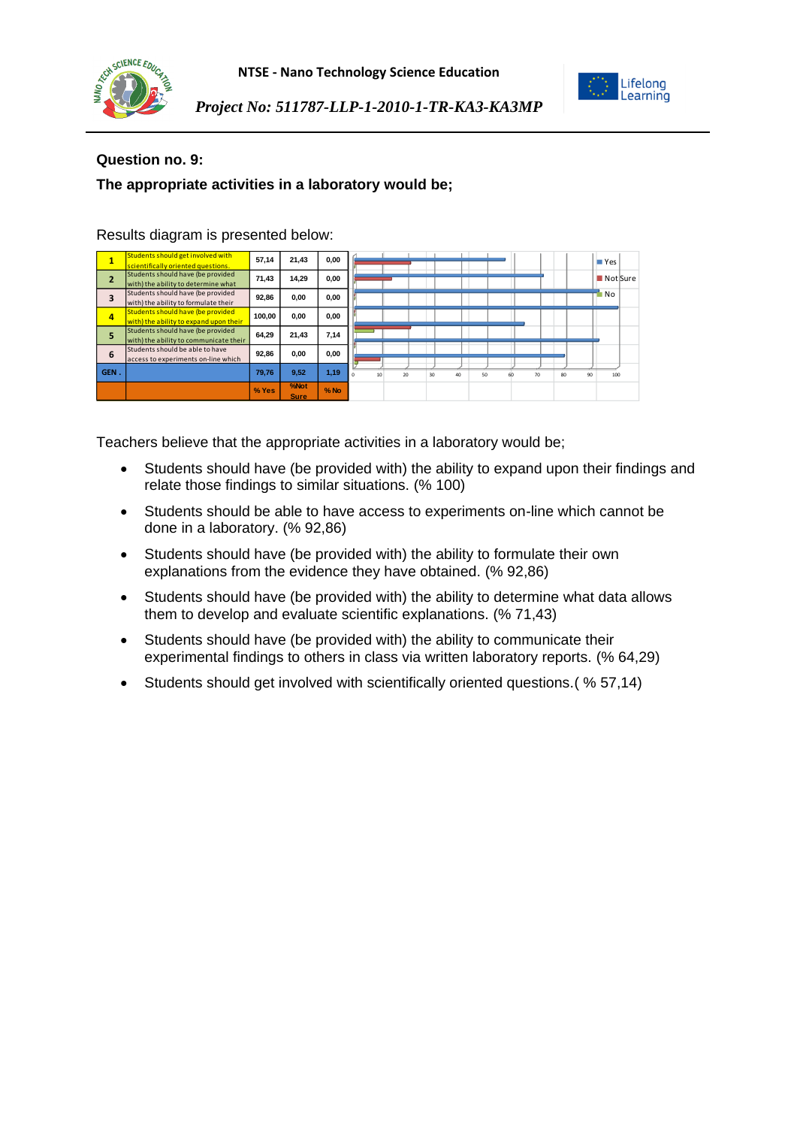



Lifelong Learning

*Project No: 511787-LLP-1-2010-1-TR-KA3-KA3MP*

## **Question no. 9:**

# **The appropriate activities in a laboratory would be;**

| 1              | Students should get involved with<br>scientifically oriented questions.     | 57,14  | 21,43               | 0,00   |                                                           | <b>Nes</b> |
|----------------|-----------------------------------------------------------------------------|--------|---------------------|--------|-----------------------------------------------------------|------------|
| $\overline{2}$ | Students should have (be provided<br>with) the ability to determine what    | 71,43  | 14.29               | 0,00   |                                                           | Not Sure   |
| 3              | Students should have (be provided<br>with) the ability to formulate their   | 92,86  | 0.00                | 0.00   |                                                           | No.        |
| $\overline{a}$ | Students should have (be provided<br>with) the ability to expand upon their | 100.00 | 0.00                | 0.00   |                                                           |            |
| 5              | Students should have (be provided<br>with) the ability to communicate their | 64.29  | 21.43               | 7,14   |                                                           |            |
| 6              | Students should be able to have<br>access to experiments on-line which      | 92,86  | 0.00                | 0,00   |                                                           |            |
| GEN.           |                                                                             | 79.76  | 9,52                | 1,19   | 50<br>10<br>20 <sub>0</sub><br>30<br>40<br>70<br>80<br>60 | 90<br>100  |
|                |                                                                             | % Yes  | %Not<br><b>Sure</b> | $%$ No |                                                           |            |

Results diagram is presented below:

Teachers believe that the appropriate activities in a laboratory would be;

- Students should have (be provided with) the ability to expand upon their findings and relate those findings to similar situations. (% 100)
- Students should be able to have access to experiments on-line which cannot be done in a laboratory. (% 92,86)
- Students should have (be provided with) the ability to formulate their own explanations from the evidence they have obtained. (% 92,86)
- Students should have (be provided with) the ability to determine what data allows them to develop and evaluate scientific explanations. (% 71,43)
- Students should have (be provided with) the ability to communicate their experimental findings to others in class via written laboratory reports. (% 64,29)
- Students should get involved with scientifically oriented questions.( % 57,14)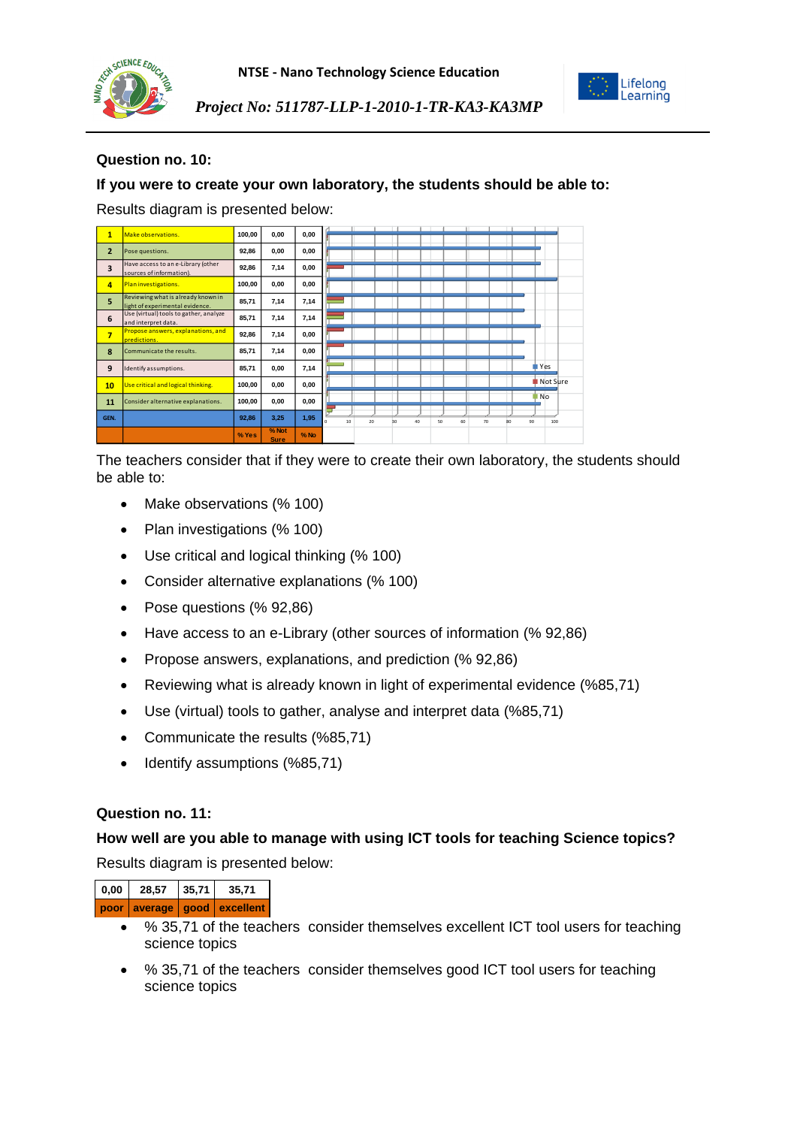



Lifelong Learning

*Project No: 511787-LLP-1-2010-1-TR-KA3-KA3MP*

# **Question no. 10:**

## **If you were to create your own laboratory, the students should be able to:**

Results diagram is presented below:

| $\mathbf{1}$   | Make observations.                                                    | 100,00 | 0.00                 | 0,00   |                                                                                          |
|----------------|-----------------------------------------------------------------------|--------|----------------------|--------|------------------------------------------------------------------------------------------|
| $\overline{2}$ | Pose questions.                                                       | 92,86  | 0,00                 | 0,00   |                                                                                          |
| 3              | Have access to an e-Library (other<br>sources of information).        | 92,86  | 7,14                 | 0,00   |                                                                                          |
| $\overline{a}$ | Plan investigations.                                                  | 100,00 | 0,00                 | 0,00   |                                                                                          |
| 5              | Reviewing what is already known in<br>light of experimental evidence. | 85,71  | 7,14                 | 7,14   |                                                                                          |
| 6              | Use (virtual) tools to gather, analyze<br>and interpret data.         | 85,71  | 7,14                 | 7,14   |                                                                                          |
| $\overline{7}$ | Propose answers, explanations, and<br>predictions.                    | 92,86  | 7,14                 | 0,00   |                                                                                          |
| 8              | Communicate the results.                                              | 85,71  | 7,14                 | 0,00   |                                                                                          |
| 9              | Identify assumptions.                                                 | 85,71  | 0.00                 | 7,14   | <b>T</b> Yes                                                                             |
| 10             | Use critical and logical thinking.                                    | 100,00 | 0.00                 | 0,00   | ■ Not Sure                                                                               |
| 11             | Consider alternative explanations.                                    | 100,00 | 0,00                 | 0,00   | <b>No</b>                                                                                |
| GEN.           |                                                                       | 92,86  | 3,25                 | 1,95   | 10<br>20<br>40 <sub>1</sub><br>60<br>70<br>50<br>90<br>100<br>30<br>RO <sub>1</sub><br>n |
|                |                                                                       | % Yes  | % Not<br><b>Sure</b> | $%$ No |                                                                                          |

The teachers consider that if they were to create their own laboratory, the students should be able to:

- Make observations (% 100)
- Plan investigations (% 100)
- Use critical and logical thinking (% 100)
- Consider alternative explanations (% 100)
- Pose questions (% 92,86)
- Have access to an e-Library (other sources of information (% 92,86)
- Propose answers, explanations, and prediction (% 92,86)
- Reviewing what is already known in light of experimental evidence (%85,71)
- Use (virtual) tools to gather, analyse and interpret data (%85,71)
- Communicate the results (%85,71)
- Identify assumptions (%85,71)

#### **Question no. 11:**

#### **How well are you able to manage with using ICT tools for teaching Science topics?**

Results diagram is presented below:

| 0,00 | 28.57 | 35.71 | 35.71                           |
|------|-------|-------|---------------------------------|
|      |       |       | poor average   good   excellent |

- % 35,71 of the teachers consider themselves excellent ICT tool users for teaching science topics
- % 35,71 of the teachers consider themselves good ICT tool users for teaching science topics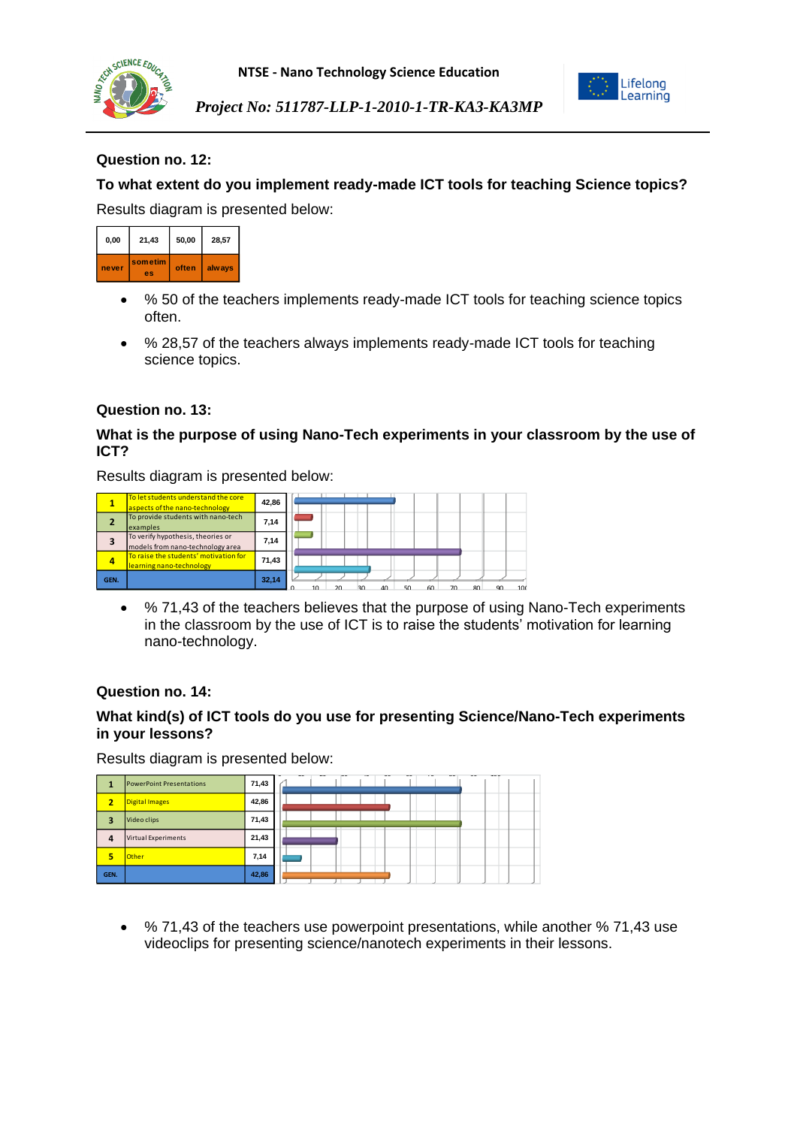

**NTSE - Nano Technology Science Education**



*Project No: 511787-LLP-1-2010-1-TR-KA3-KA3MP*

# **Question no. 12:**

# **To what extent do you implement ready-made ICT tools for teaching Science topics?**

Results diagram is presented below:



- % 50 of the teachers implements ready-made ICT tools for teaching science topics often.
- % 28,57 of the teachers always implements ready-made ICT tools for teaching science topics.

#### **Question no. 13:**

### **What is the purpose of using Nano-Tech experiments in your classroom by the use of ICT?**

Results diagram is presented below:

|      | To let students understand the core<br>aspects of the nano-technology | 42,86 |    |  |           |    |    |    |           |     |
|------|-----------------------------------------------------------------------|-------|----|--|-----------|----|----|----|-----------|-----|
|      | To provide students with nano-tech<br>examples                        | 7,14  |    |  |           |    |    |    |           |     |
| з    | To verify hypothesis, theories or<br>models from nano-technology area | 7.14  |    |  |           |    |    |    |           |     |
| 4    | To raise the students' motivation for<br>learning nano-technology     | 71.43 |    |  |           |    |    |    |           |     |
| GEN. |                                                                       | 32,14 | 10 |  | $\Lambda$ | 50 | 60 | 70 | <b>QN</b> | 101 |

 % 71,43 of the teachers believes that the purpose of using Nano-Tech experiments in the classroom by the use of ICT is to raise the students' motivation for learning nano-technology.

#### **Question no. 14:**

## **What kind(s) of ICT tools do you use for presenting Science/Nano-Tech experiments in your lessons?**

Results diagram is presented below:

|              | <b>PowerPoint Presentations</b> | 71,43 | $\overline{\phantom{a}}$<br>$\sim$<br><b>ANY OF</b><br>$-$<br>$\sim$<br>$\sim$<br>$\sim$<br>$-1$<br>$\sim$<br>$\sim$ |
|--------------|---------------------------------|-------|----------------------------------------------------------------------------------------------------------------------|
| 2            | Digital Images                  | 42,86 |                                                                                                                      |
| 2            | Video clips                     | 71,43 |                                                                                                                      |
| $\mathbf{A}$ | <b>Virtual Experiments</b>      | 21,43 |                                                                                                                      |
| Б            | <b>Other</b>                    | 7,14  |                                                                                                                      |
| GEN.         |                                 | 42,86 |                                                                                                                      |

 % 71,43 of the teachers use powerpoint presentations, while another % 71,43 use videoclips for presenting science/nanotech experiments in their lessons.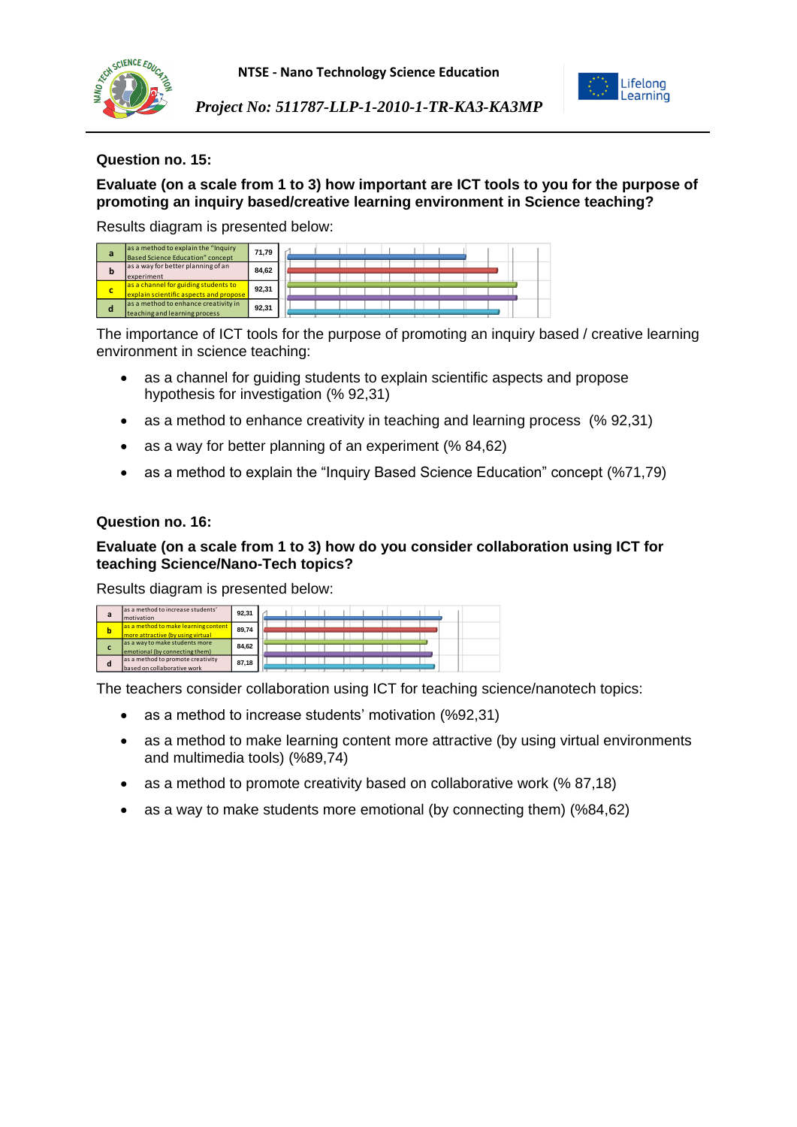

**NTSE - Nano Technology Science Education**



*Project No: 511787-LLP-1-2010-1-TR-KA3-KA3MP*

### **Question no. 15:**

**Evaluate (on a scale from 1 to 3) how important are ICT tools to you for the purpose of promoting an inquiry based/creative learning environment in Science teaching?**

Results diagram is presented below:

| а | as a method to explain the "Inquiry<br>Based Science Education" concept        | 71.79 |  |  |  |  |  |  |
|---|--------------------------------------------------------------------------------|-------|--|--|--|--|--|--|
| b | as a way for better planning of an<br>experiment                               | 84.62 |  |  |  |  |  |  |
| c | as a channel for guiding students to<br>explain scientific aspects and propose | 92.31 |  |  |  |  |  |  |
| o | as a method to enhance creativity in<br>teaching and learning process          | 92.31 |  |  |  |  |  |  |

The importance of ICT tools for the purpose of promoting an inquiry based / creative learning environment in science teaching:

- as a channel for guiding students to explain scientific aspects and propose hypothesis for investigation (% 92,31)
- as a method to enhance creativity in teaching and learning process (% 92,31)
- as a way for better planning of an experiment (% 84,62)
- as a method to explain the "Inquiry Based Science Education" concept (%71,79)

#### **Question no. 16:**

## **Evaluate (on a scale from 1 to 3) how do you consider collaboration using ICT for teaching Science/Nano-Tech topics?**

Results diagram is presented below:

| a | as a method to increase students'<br>motivation                           | 92.31 |  |  |  |  |  |
|---|---------------------------------------------------------------------------|-------|--|--|--|--|--|
| b | as a method to make learning content<br>more attractive (by using virtual | 89.74 |  |  |  |  |  |
|   | as a way to make students more<br>emotional (by connecting them)          | 84.62 |  |  |  |  |  |
| d | as a method to promote creativity<br>based on collaborative work          | 87.18 |  |  |  |  |  |

The teachers consider collaboration using ICT for teaching science/nanotech topics:

- as a method to increase students' motivation (%92,31)
- as a method to make learning content more attractive (by using virtual environments and multimedia tools) (%89,74)
- as a method to promote creativity based on collaborative work (% 87,18)
- as a way to make students more emotional (by connecting them) (%84,62)